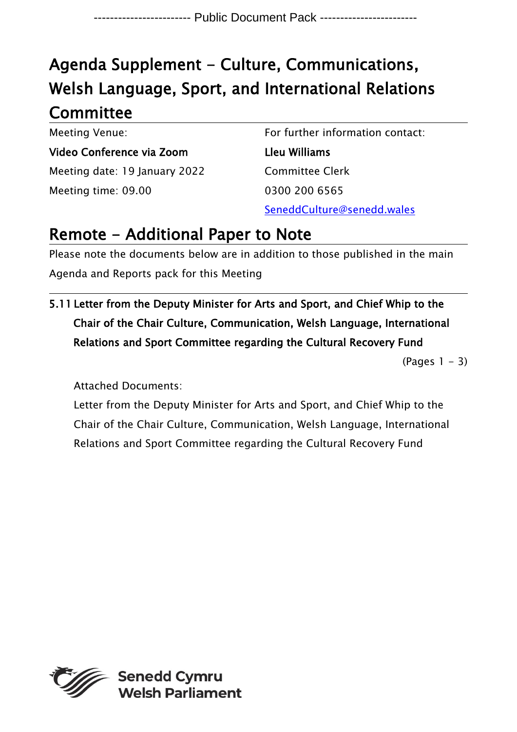## Agenda Supplement - Culture, Communications, Welsh Language, Sport, and International Relations **Committee**

Meeting Venue: Video Conference via Zoom Meeting date: 19 January 2022 Meeting time: 09.00

For further information contact: Lleu Williams Committee Clerk 0300 200 6565 SeneddCulture@senedd.wales

## Remote - Additional Paper to Note

Please note the documents below are in addition to those published in the main Agenda and Reports pack for this Meeting

5.11 Letter from the Deputy Minister for Arts and Sport, and Chief Whip to the Chair of the Chair Culture, Communication, Welsh Language, International Relations and Sport Committee regarding the Cultural Recovery Fund

 $(Pa$ ges  $1 - 3)$ 

Attached Documents:

Letter from the Deputy Minister for Arts and Sport, and Chief Whip to the Chair of the Chair Culture, Communication, Welsh Language, International Relations and Sport Committee regarding the Cultural Recovery Fund

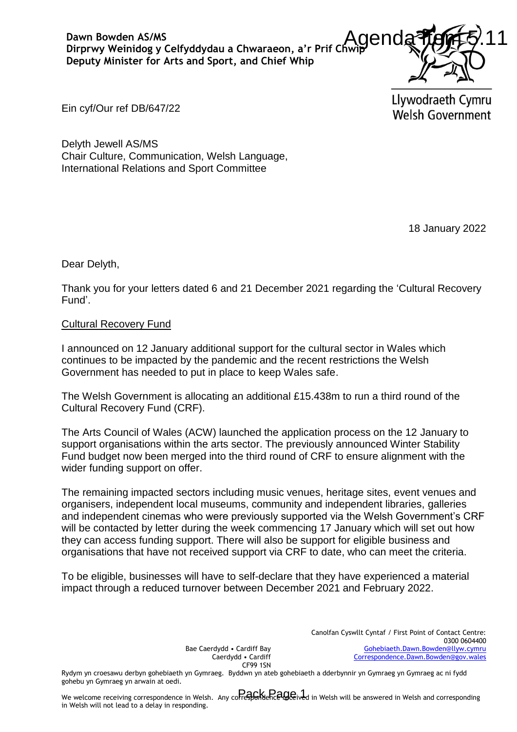

Ein cyf/Our ref DB/647/22

Delyth Jewell AS/MS Chair Culture, Communication, Welsh Language, International Relations and Sport Committee

18 January 2022

Dear Delyth,

Thank you for your letters dated 6 and 21 December 2021 regarding the 'Cultural Recovery Fund'.

## Cultural Recovery Fund

I announced on 12 January additional support for the cultural sector in Wales which continues to be impacted by the pandemic and the recent restrictions the Welsh Government has needed to put in place to keep Wales safe.

The Welsh Government is allocating an additional £15.438m to run a third round of the Cultural Recovery Fund (CRF).

The Arts Council of Wales (ACW) launched the application process on the 12 January to support organisations within the arts sector. The previously announced Winter Stability Fund budget now been merged into the third round of CRF to ensure alignment with the wider funding support on offer.

The remaining impacted sectors including music venues, heritage sites, event venues and organisers, independent local museums, community and independent libraries, galleries and independent cinemas who were previously supported via the Welsh Government's CRF will be contacted by letter during the week commencing 17 January which will set out how they can access funding support. There will also be support for eligible business and organisations that have not received support via CRF to date, who can meet the criteria. Chwaraeon, a'r Prif Chwip Chud a Thomas Church Church and Chief Whip<br>
In and Chief Whip<br>
I Understand It of the Cultural Recovery<br>
IN UNION CHINE Welsh Government<br>
Language,<br>
mittee<br>
support for the cultural sector in Wal

To be eligible, businesses will have to self-declare that they have experienced a material impact through a reduced turnover between December 2021 and February 2022.

> Canolfan Cyswllt Cyntaf / First Point of Contact Centre: 0300 0604400 [Gohebiaeth.Dawn.Bowden@llyw.cymru](mailto:Gohebiaeth.Dawn.Bowden@llyw.cymru)   [Correspondence.Dawn.Bowden@gov.wales](mailto:Correspondence.Dawn.Bowden@gov.wales)

Bae Caerdydd • Cardiff Bay Caerdydd • Cardiff CF99 1SN

Rydym yn croesawu derbyn gohebiaeth yn Gymraeg. Byddwn yn ateb gohebiaeth a dderbynnir yn Gymraeg yn Gymraeg ac ni fydd gohebu yn Gymraeg yn arwain at oedi.

We welcome receiving correspondence in Welsh. Any correspondence Received in Welsh will be answered in Welsh and corresponding in Welsh will not lead to a delay in responding.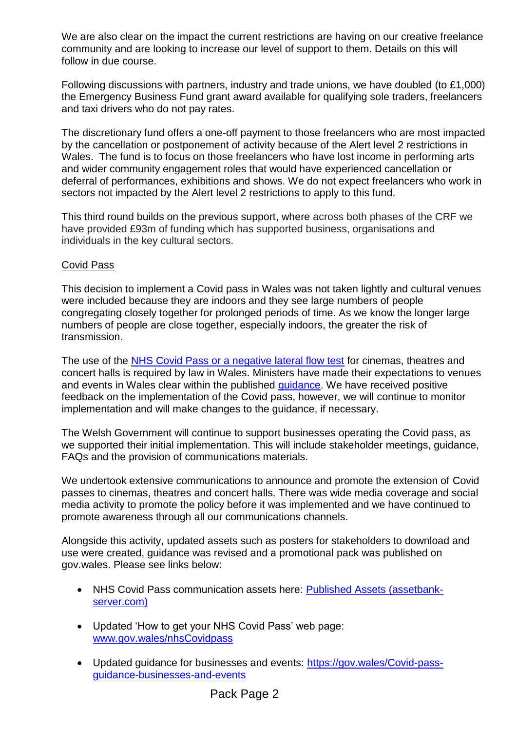We are also clear on the impact the current restrictions are having on our creative freelance community and are looking to increase our level of support to them. Details on this will follow in due course.

Following discussions with partners, industry and trade unions, we have doubled (to £1,000) the Emergency Business Fund grant award available for qualifying sole traders, freelancers and taxi drivers who do not pay rates.

The discretionary fund offers a one-off payment to those freelancers who are most impacted by the cancellation or postponement of activity because of the Alert level 2 restrictions in Wales. The fund is to focus on those freelancers who have lost income in performing arts and wider community engagement roles that would have experienced cancellation or deferral of performances, exhibitions and shows. We do not expect freelancers who work in sectors not impacted by the Alert level 2 restrictions to apply to this fund.

This third round builds on the previous support, where across both phases of the CRF we have provided £93m of funding which has supported business, organisations and individuals in the key cultural sectors.

## Covid Pass

This decision to implement a Covid pass in Wales was not taken lightly and cultural venues were included because they are indoors and they see large numbers of people congregating closely together for prolonged periods of time. As we know the longer large numbers of people are close together, especially indoors, the greater the risk of transmission.

The use of the [NHS Covid Pass or a negative lateral flow test](https://gov.wales/covid-pass-guidance-businesses-and-events-html) for cinemas, theatres and concert halls is required by law in Wales. Ministers have made their expectations to venues and events in Wales clear within the published [guidance.](https://gov.wales/covid-pass-guidance-businesses-and-events-html) We have received positive feedback on the implementation of the Covid pass, however, we will continue to monitor implementation and will make changes to the guidance, if necessary.

The Welsh Government will continue to support businesses operating the Covid pass, as we supported their initial implementation. This will include stakeholder meetings, guidance, FAQs and the provision of communications materials.

We undertook extensive communications to announce and promote the extension of Covid passes to cinemas, theatres and concert halls. There was wide media coverage and social media activity to promote the policy before it was implemented and we have continued to promote awareness through all our communications channels.

Alongside this activity, updated assets such as posters for stakeholders to download and use were created, guidance was revised and a promotional pack was published on gov.wales. Please see links below:

- NHS Covid Pass communication assets here: [Published Assets \(assetbank](https://eur01.safelinks.protection.outlook.com/?url=https%3A%2F%2Fwales.assetbank-server.com%2Fassetbank-wales%2Fimages%2Fassetbox%2F196c46e8-b05d-479d-b38c-6380cdc2cb6b%2Fassetbox.html&data=04%7C01%7CLeon.Griffiths%40Gov.Wales%7C9dad7a0e42c945395bff08d9b5ad09dd%7Ca2cc36c592804ae78887d06dab89216b%7C0%7C0%7C637740577056694117%7CUnknown%7CTWFpbGZsb3d8eyJWIjoiMC4wLjAwMDAiLCJQIjoiV2luMzIiLCJBTiI6Ik1haWwiLCJXVCI6Mn0%3D%7C3000&sdata=JexcCV%2FJcbwavjs1SXA843svXRzyPc5lvXL4VdEU3%2Fs%3D&reserved=0)[server.com\)](https://eur01.safelinks.protection.outlook.com/?url=https%3A%2F%2Fwales.assetbank-server.com%2Fassetbank-wales%2Fimages%2Fassetbox%2F196c46e8-b05d-479d-b38c-6380cdc2cb6b%2Fassetbox.html&data=04%7C01%7CLeon.Griffiths%40Gov.Wales%7C9dad7a0e42c945395bff08d9b5ad09dd%7Ca2cc36c592804ae78887d06dab89216b%7C0%7C0%7C637740577056694117%7CUnknown%7CTWFpbGZsb3d8eyJWIjoiMC4wLjAwMDAiLCJQIjoiV2luMzIiLCJBTiI6Ik1haWwiLCJXVCI6Mn0%3D%7C3000&sdata=JexcCV%2FJcbwavjs1SXA843svXRzyPc5lvXL4VdEU3%2Fs%3D&reserved=0)
- Updated 'How to get your NHS Covid Pass' web page: [www.gov.wales/nhsCovidpass](https://eur01.safelinks.protection.outlook.com/?url=http%3A%2F%2Fwww.gov.wales%2Fnhscovidpass&data=04%7C01%7CLeon.Griffiths%40Gov.Wales%7C9dad7a0e42c945395bff08d9b5ad09dd%7Ca2cc36c592804ae78887d06dab89216b%7C0%7C0%7C637740577056704083%7CUnknown%7CTWFpbGZsb3d8eyJWIjoiMC4wLjAwMDAiLCJQIjoiV2luMzIiLCJBTiI6Ik1haWwiLCJXVCI6Mn0%3D%7C3000&sdata=q0q%2Fs1XkIbNUsYYATqAP75XmDLqFOo2K%2B6UE2DEfBYQ%3D&reserved=0)
- Updated guidance for businesses and events: [https://gov.wales/Covid-pass](https://eur01.safelinks.protection.outlook.com/?url=https%3A%2F%2Fgov.wales%2Fcovid-pass-guidance-businesses-and-events&data=04%7C01%7CLeon.Griffiths%40Gov.Wales%7C9dad7a0e42c945395bff08d9b5ad09dd%7Ca2cc36c592804ae78887d06dab89216b%7C0%7C0%7C637740577056704083%7CUnknown%7CTWFpbGZsb3d8eyJWIjoiMC4wLjAwMDAiLCJQIjoiV2luMzIiLCJBTiI6Ik1haWwiLCJXVCI6Mn0%3D%7C3000&sdata=eHMti5Dx7Pqkj6l44LPoEr2jiavVeqlIztvPUWPaIWM%3D&reserved=0)[guidance-businesses-and-events](https://eur01.safelinks.protection.outlook.com/?url=https%3A%2F%2Fgov.wales%2Fcovid-pass-guidance-businesses-and-events&data=04%7C01%7CLeon.Griffiths%40Gov.Wales%7C9dad7a0e42c945395bff08d9b5ad09dd%7Ca2cc36c592804ae78887d06dab89216b%7C0%7C0%7C637740577056704083%7CUnknown%7CTWFpbGZsb3d8eyJWIjoiMC4wLjAwMDAiLCJQIjoiV2luMzIiLCJBTiI6Ik1haWwiLCJXVCI6Mn0%3D%7C3000&sdata=eHMti5Dx7Pqkj6l44LPoEr2jiavVeqlIztvPUWPaIWM%3D&reserved=0)